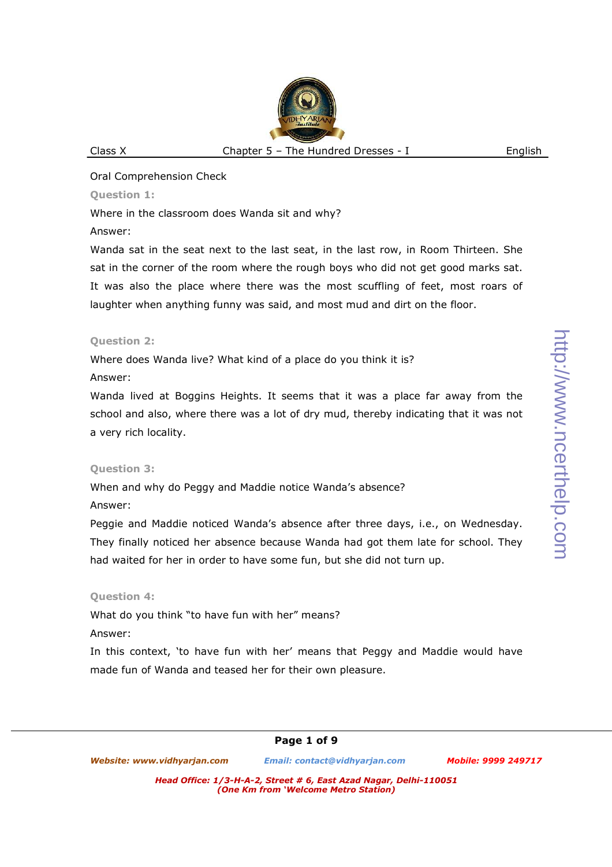# **Question 1:**

Where in the classroom does Wanda sit and why?

# Answer:

Wanda sat in the seat next to the last seat, in the last row, in Room Thirteen. She sat in the corner of the room where the rough boys who did not get good marks sat. It was also the place where there was the most scuffling of feet, most roars of laughter when anything funny was said, and most mud and dirt on the floor.

# **Question 2:**

Where does Wanda live? What kind of a place do you think it is? Answer:

Wanda lived at Boggins Heights. It seems that it was a place far away from the school and also, where there was a lot of dry mud, thereby indicating that it was not a very rich locality.

# **Question 3:**

When and why do Peggy and Maddie notice Wanda's absence?

# Answer:

Peggie and Maddie noticed Wanda's absence after three days, i.e., on Wednesday. They finally noticed her absence because Wanda had got them late for school. They had waited for her in order to have some fun, but she did not turn up.

# **Question 4:**

What do you think "to have fun with her" means?

# Answer:

In this context, 'to have fun with her' means that Peggy and Maddie would have made fun of Wanda and teased her for their own pleasure.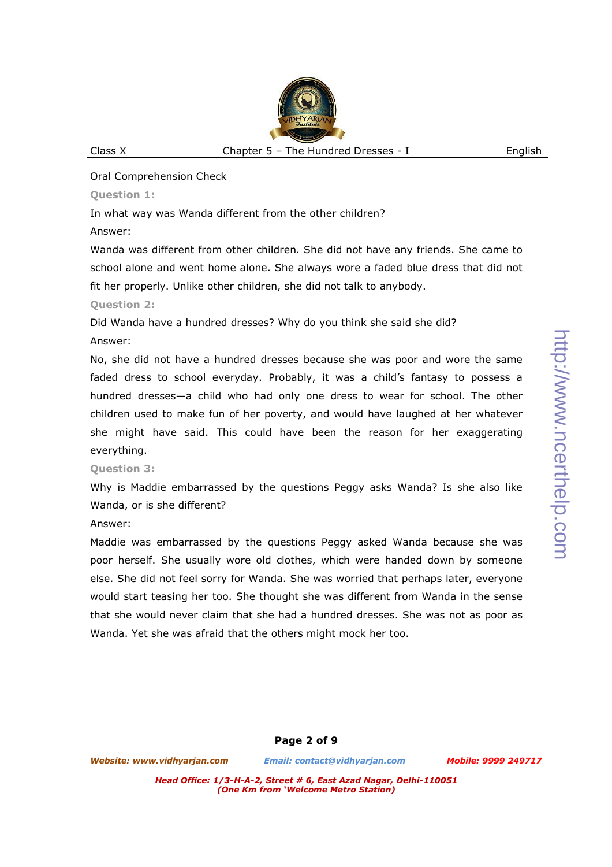### Oral Comprehension Check

### **Question 1:**

In what way was Wanda different from the other children?

## Answer:

Wanda was different from other children. She did not have any friends. She came to school alone and went home alone. She always wore a faded blue dress that did not fit her properly. Unlike other children, she did not talk to anybody.

# **Question 2:**

Did Wanda have a hundred dresses? Why do you think she said she did?

# Answer:

No, she did not have a hundred dresses because she was poor and wore the same faded dress to school everyday. Probably, it was a child's fantasy to possess a hundred dresses—a child who had only one dress to wear for school. The other children used to make fun of her poverty, and would have laughed at her whatever she might have said. This could have been the reason for her exaggerating everything.

# **Question 3:**

Why is Maddie embarrassed by the questions Peggy asks Wanda? Is she also like Wanda, or is she different?

### Answer:

Maddie was embarrassed by the questions Peggy asked Wanda because she was poor herself. She usually wore old clothes, which were handed down by someone else. She did not feel sorry for Wanda. She was worried that perhaps later, everyone would start teasing her too. She thought she was different from Wanda in the sense that she would never claim that she had a hundred dresses. She was not as poor as Wanda. Yet she was afraid that the others might mock her too.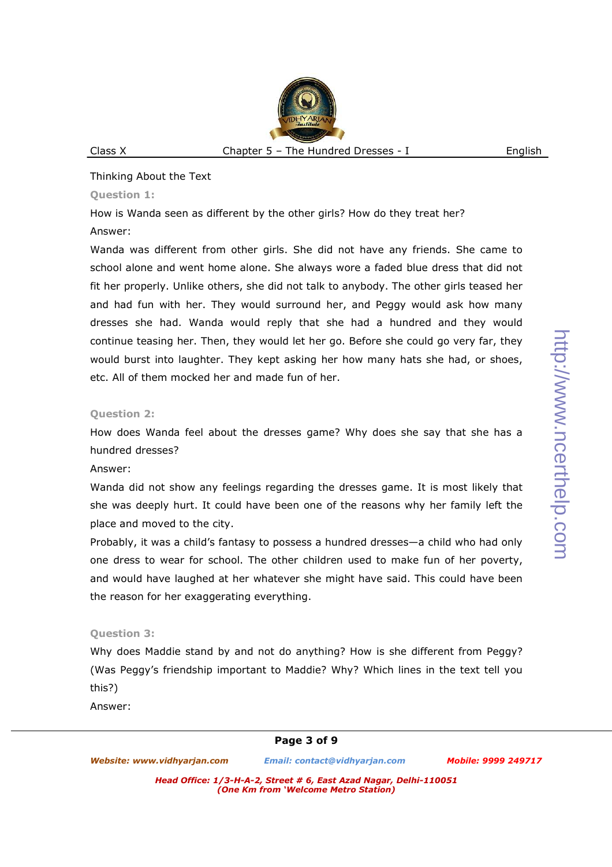#### Thinking About the Text

#### **Question 1:**

How is Wanda seen as different by the other girls? How do they treat her?

#### Answer:

Wanda was different from other girls. She did not have any friends. She came to school alone and went home alone. She always wore a faded blue dress that did not fit her properly. Unlike others, she did not talk to anybody. The other girls teased her and had fun with her. They would surround her, and Peggy would ask how many dresses she had. Wanda would reply that she had a hundred and they would continue teasing her. Then, they would let her go. Before she could go very far, they would burst into laughter. They kept asking her how many hats she had, or shoes, etc. All of them mocked her and made fun of her.

### **Question 2:**

How does Wanda feel about the dresses game? Why does she say that she has a hundred dresses?

#### Answer:

Wanda did not show any feelings regarding the dresses game. It is most likely that she was deeply hurt. It could have been one of the reasons why her family left the place and moved to the city.

Probably, it was a child's fantasy to possess a hundred dresses—a child who had only one dress to wear for school. The other children used to make fun of her poverty, and would have laughed at her whatever she might have said. This could have been the reason for her exaggerating everything.

### **Question 3:**

Why does Maddie stand by and not do anything? How is she different from Peggy? (Was Peggy's friendship important to Maddie? Why? Which lines in the text tell you this?)

Answer: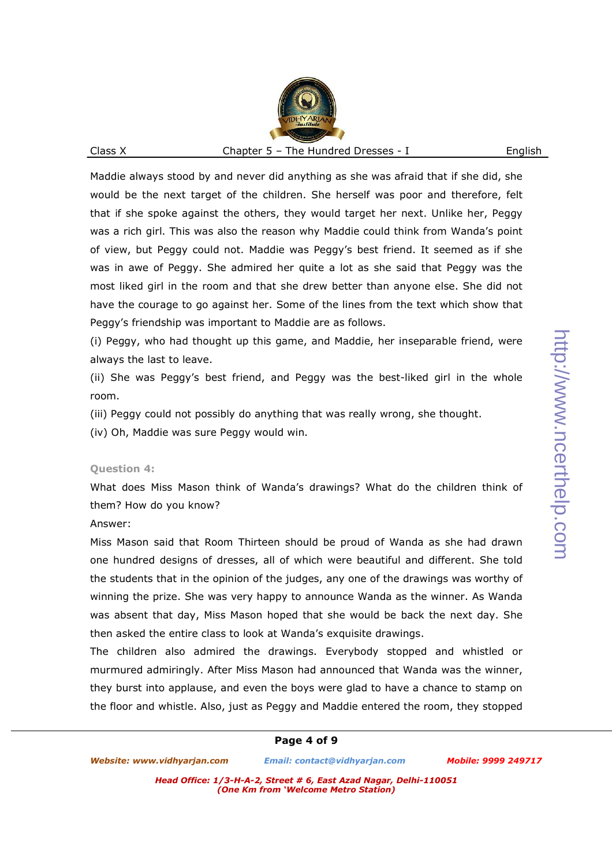Maddie always stood by and never did anything as she was afraid that if she did, she would be the next target of the children. She herself was poor and therefore, felt that if she spoke against the others, they would target her next. Unlike her, Peggy was a rich girl. This was also the reason why Maddie could think from Wanda's point of view, but Peggy could not. Maddie was Peggy's best friend. It seemed as if she was in awe of Peggy. She admired her quite a lot as she said that Peggy was the most liked girl in the room and that she drew better than anyone else. She did not have the courage to go against her. Some of the lines from the text which show that Peggy's friendship was important to Maddie are as follows.

(i) Peggy, who had thought up this game, and Maddie, her inseparable friend, were always the last to leave.

(ii) She was Peggy's best friend, and Peggy was the best-liked girl in the whole room.

(iii) Peggy could not possibly do anything that was really wrong, she thought.

(iv) Oh, Maddie was sure Peggy would win.

#### **Question 4:**

What does Miss Mason think of Wanda's drawings? What do the children think of them? How do you know?

#### Answer:

Miss Mason said that Room Thirteen should be proud of Wanda as she had drawn one hundred designs of dresses, all of which were beautiful and different. She told the students that in the opinion of the judges, any one of the drawings was worthy of winning the prize. She was very happy to announce Wanda as the winner. As Wanda was absent that day, Miss Mason hoped that she would be back the next day. She then asked the entire class to look at Wanda's exquisite drawings.

The children also admired the drawings. Everybody stopped and whistled or murmured admiringly. After Miss Mason had announced that Wanda was the winner, they burst into applause, and even the boys were glad to have a chance to stamp on the floor and whistle. Also, just as Peggy and Maddie entered the room, they stopped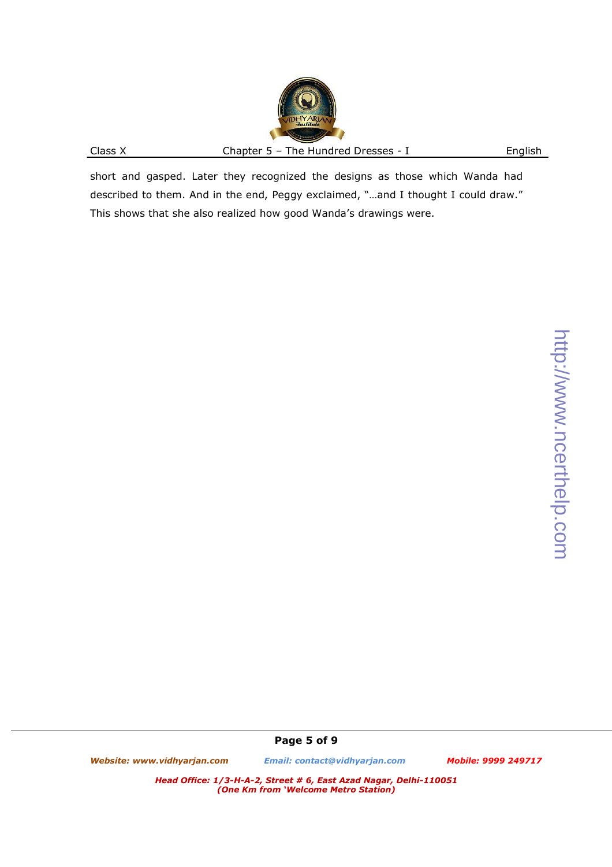short and gasped. Later they recognized the designs as those which Wanda had described to them. And in the end, Peggy exclaimed, "…and I thought I could draw." This shows that she also realized how good Wanda's drawings were.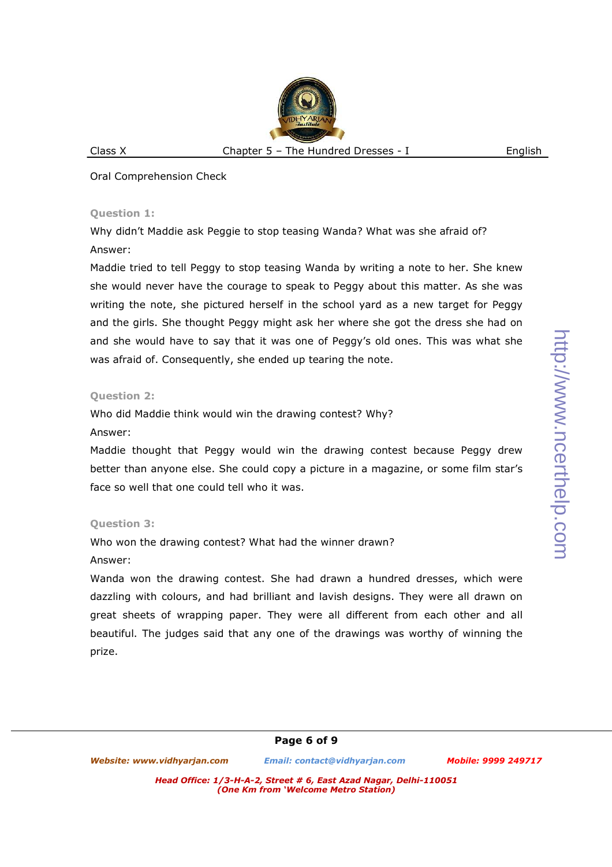Oral Comprehension Check

### **Question 1:**

Why didn't Maddie ask Peggie to stop teasing Wanda? What was she afraid of? Answer:

Maddie tried to tell Peggy to stop teasing Wanda by writing a note to her. She knew she would never have the courage to speak to Peggy about this matter. As she was writing the note, she pictured herself in the school yard as a new target for Peggy and the girls. She thought Peggy might ask her where she got the dress she had on and she would have to say that it was one of Peggy's old ones. This was what she was afraid of. Consequently, she ended up tearing the note.

## **Question 2:**

Who did Maddie think would win the drawing contest? Why?

### Answer:

Maddie thought that Peggy would win the drawing contest because Peggy drew better than anyone else. She could copy a picture in a magazine, or some film star's face so well that one could tell who it was.

# **Question 3:**

Who won the drawing contest? What had the winner drawn?

### Answer:

Wanda won the drawing contest. She had drawn a hundred dresses, which were dazzling with colours, and had brilliant and lavish designs. They were all drawn on great sheets of wrapping paper. They were all different from each other and all beautiful. The judges said that any one of the drawings was worthy of winning the prize.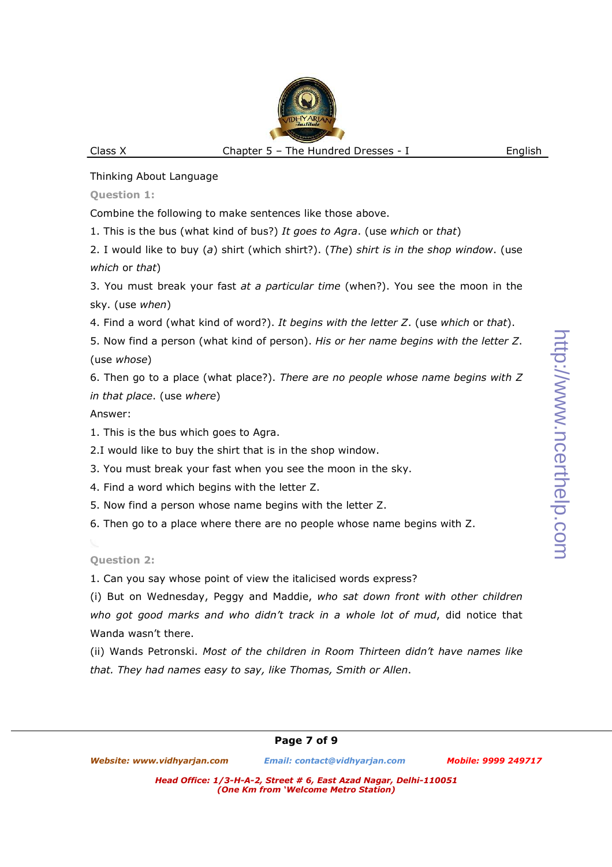http://www.ncerthelp.com http://www.ncerthelp.com

Thinking About Language

**Question 1:** 

Combine the following to make sentences like those above.

1. This is the bus (what kind of bus?) *It goes to Agra*. (use *which* or *that*)

2. I would like to buy (*a*) shirt (which shirt?). (*The*) *shirt is in the shop window*. (use *which* or *that*)

3. You must break your fast *at a particular time* (when?). You see the moon in the sky. (use *when*)

4. Find a word (what kind of word?). *It begins with the letter Z*. (use *which* or *that*).

5. Now find a person (what kind of person). *His or her name begins with the letter Z*. (use *whose*)

6. Then go to a place (what place?). *There are no people whose name begins with Z in that place*. (use *where*)

Answer:

1. This is the bus which goes to Agra.

2.I would like to buy the shirt that is in the shop window.

3. You must break your fast when you see the moon in the sky.

4. Find a word which begins with the letter Z.

5. Now find a person whose name begins with the letter Z.

6. Then go to a place where there are no people whose name begins with Z.

**Question 2:** 

1. Can you say whose point of view the italicised words express?

(i) But on Wednesday, Peggy and Maddie, *who sat down front with other children who got good marks and who didn't track in a whole lot of mud*, did notice that Wanda wasn't there.

(ii) Wands Petronski. *Most of the children in Room Thirteen didn't have names like that. They had names easy to say, like Thomas, Smith or Allen*.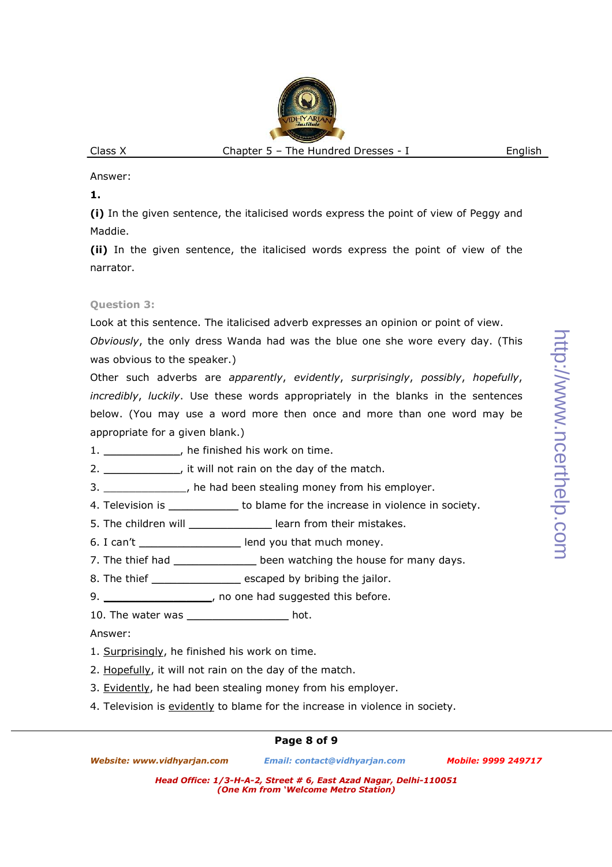Answer:

**1.**

**(i)** In the given sentence, the italicised words express the point of view of Peggy and Maddie.

**(ii)** In the given sentence, the italicised words express the point of view of the narrator.

# **Question 3:**

Look at this sentence. The italicised adverb expresses an opinion or point of view.

*Obviously*, the only dress Wanda had was the blue one she wore every day. (This was obvious to the speaker.)

Other such adverbs are *apparently*, *evidently*, *surprisingly*, *possibly*, *hopefully*, *incredibly*, *luckily*. Use these words appropriately in the blanks in the sentences below. (You may use a word more then once and more than one word may be appropriate for a given blank.)

- 1. \_\_\_\_\_\_\_\_\_\_\_\_\_\_, he finished his work on time.
- 2. \_\_\_\_\_\_\_\_\_\_\_\_\_\_, it will not rain on the day of the match.

3. \_\_\_\_\_\_\_\_\_\_\_\_\_, he had been stealing money from his employer.

- 4. Television is \_\_\_\_\_\_\_\_\_\_\_\_\_\_ to blame for the increase in violence in society.
- 5. The children will \_\_\_\_\_\_\_\_\_\_\_\_\_\_\_\_\_ learn from their mistakes.

6. I can't \_\_\_\_\_\_\_\_\_\_\_\_\_\_\_\_\_\_\_\_\_ lend you that much money.

7. The thief had \_\_\_\_\_\_\_\_\_\_\_\_\_\_\_ been watching the house for many days.

8. The thief \_\_\_\_\_\_\_\_\_\_\_\_\_\_\_\_\_ escaped by bribing the jailor.

- 9. \_\_\_\_\_\_\_\_\_\_\_\_\_\_\_\_\_\_\_, no one had suggested this before.
- 10. The water was \_\_\_\_\_\_\_\_\_\_\_\_\_\_\_\_\_\_\_\_ hot.

Answer:

- 1. Surprisingly, he finished his work on time.
- 2. Hopefully, it will not rain on the day of the match.
- 3. Evidently, he had been stealing money from his employer.
- 4. Television is evidently to blame for the increase in violence in society.